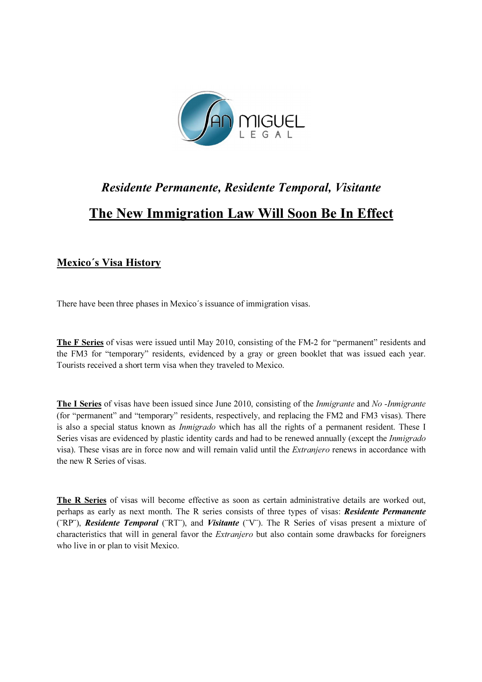

## Residente Permanente, Residente Temporal, Visitante The New Immigration Law Will Soon Be In Effect

## Mexico´s Visa History

There have been three phases in Mexico´s issuance of immigration visas.

The F Series of visas were issued until May 2010, consisting of the FM-2 for "permanent" residents and the FM3 for "temporary" residents, evidenced by a gray or green booklet that was issued each year. Tourists received a short term visa when they traveled to Mexico.

The I Series of visas have been issued since June 2010, consisting of the *Inmigrante* and No-*Inmigrante* (for "permanent" and "temporary" residents, respectively, and replacing the FM2 and FM3 visas). There is also a special status known as *Inmigrado* which has all the rights of a permanent resident. These I Series visas are evidenced by plastic identity cards and had to be renewed annually (except the *Inmigrado* visa). These visas are in force now and will remain valid until the Extranjero renews in accordance with the new R Series of visas.

The R Series of visas will become effective as soon as certain administrative details are worked out, perhaps as early as next month. The R series consists of three types of visas: Residente Permanente (¨RP¨), Residente Temporal (¨RT¨), and Visitante (¨V¨). The R Series of visas present a mixture of characteristics that will in general favor the Extranjero but also contain some drawbacks for foreigners who live in or plan to visit Mexico.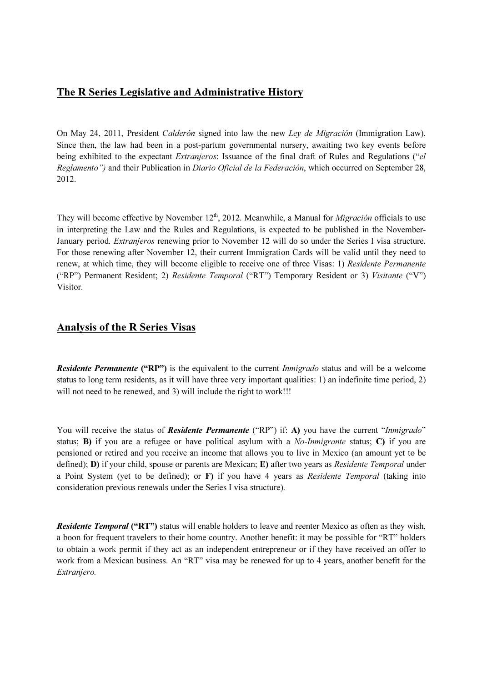## The R Series Legislative and Administrative History

On May 24, 2011, President Calderón signed into law the new Ley de Migración (Immigration Law). Since then, the law had been in a post-partum governmental nursery, awaiting two key events before being exhibited to the expectant *Extranieros*: Issuance of the final draft of Rules and Regulations ("el Reglamento") and their Publication in Diario Oficial de la Federación, which occurred on September 28, 2012.

They will become effective by November  $12<sup>th</sup>$ , 2012. Meanwhile, a Manual for *Migración* officials to use in interpreting the Law and the Rules and Regulations, is expected to be published in the November-January period. Extranjeros renewing prior to November 12 will do so under the Series I visa structure. For those renewing after November 12, their current Immigration Cards will be valid until they need to renew, at which time, they will become eligible to receive one of three Visas: 1) Residente Permanente ("RP") Permanent Resident; 2) Residente Temporal ("RT") Temporary Resident or 3) Visitante ("V") Visitor.

## Analysis of the R Series Visas

**Residente Permanente ("RP")** is the equivalent to the current *Inmigrado* status and will be a welcome status to long term residents, as it will have three very important qualities: 1) an indefinite time period, 2) will not need to be renewed, and 3) will include the right to work!!!

You will receive the status of **Residente Permanente** ("RP") if: A) you have the current "Inmigrado" status; B) if you are a refugee or have political asylum with a *No-Inmigrante* status; C) if you are pensioned or retired and you receive an income that allows you to live in Mexico (an amount yet to be defined); D) if your child, spouse or parents are Mexican; E) after two years as Residente Temporal under a Point System (yet to be defined); or  $\bf{F}$ ) if you have 4 years as *Residente Temporal* (taking into consideration previous renewals under the Series I visa structure).

**Residente Temporal ("RT")** status will enable holders to leave and reenter Mexico as often as they wish, a boon for frequent travelers to their home country. Another benefit: it may be possible for "RT" holders to obtain a work permit if they act as an independent entrepreneur or if they have received an offer to work from a Mexican business. An "RT" visa may be renewed for up to 4 years, another benefit for the Extranjero.